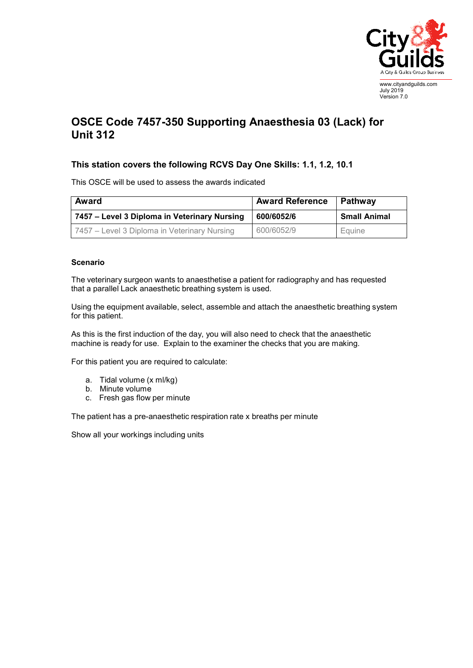

July 2019 Version 7.0

## **OSCE Code 7457-350 Supporting Anaesthesia 03 (Lack) for Unit 312**

## **This station covers the following RCVS Day One Skills: 1.1, 1.2, 10.1**

This OSCE will be used to assess the awards indicated

| Award                                        | <b>Award Reference</b> | Pathway             |
|----------------------------------------------|------------------------|---------------------|
| 7457 – Level 3 Diploma in Veterinary Nursing | 600/6052/6             | <b>Small Animal</b> |
| 7457 – Level 3 Diploma in Veterinary Nursing | 600/6052/9             | Equine              |

## **Scenario**

The veterinary surgeon wants to anaesthetise a patient for radiography and has requested that a parallel Lack anaesthetic breathing system is used.

Using the equipment available, select, assemble and attach the anaesthetic breathing system for this patient.

As this is the first induction of the day, you will also need to check that the anaesthetic machine is ready for use. Explain to the examiner the checks that you are making.

For this patient you are required to calculate:

- a. Tidal volume (x ml/kg)
- b. Minute volume
- c. Fresh gas flow per minute

The patient has a pre-anaesthetic respiration rate x breaths per minute

Show all your workings including units